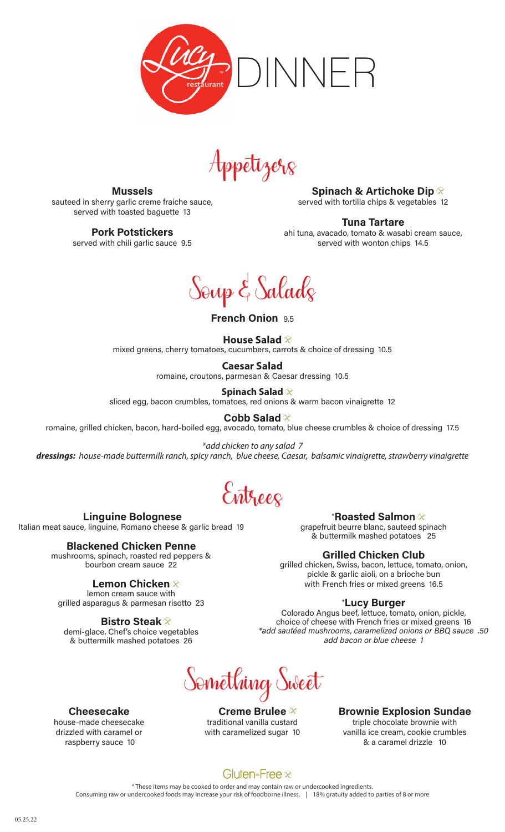

Appetizers

Mussels sauteed in sherry garlic creme fraiche sauce, served with toasted baguette 13

Pork Potstickers

served with chili garlic sauce 9.5

 Linguine Bolognese Italian meat sauce, linguine, Romano cheese & garlic bread 19

> Blackened Chicken Penne mushrooms, spinach, roasted red peppers & bourbon cream sauce 22

Lemon Chicken ⊗ lemon cream sauce with grilled asparagus & parmesan risotto 23

Bistro Steak  $\otimes$ demi-glace, Chef's choice vegetables & buttermilk mashed potatoes 26

Spinach & Artichoke Dip  $\otimes$ served with tortilla chips & vegetables 12

Tuna Tartare

ahi tuna, avacado, tomato & wasabi cream sauce, served with wonton chips 14.5

Soup & Salads

French Onion 9.5

#### **House Salad**

mixed greens, cherry tomatoes, cucumbers, carrots & choice of dressing 10.5

**Caesar Salad**  romaine, croutons, parmesan & Caesar dressing 10.5

**Spinach Salad**  sliced egg, bacon crumbles, tomatoes, red onions & warm bacon vinaigrette 12

Cobb Salad <sup>⊗</sup>

romaine, grilled chicken, bacon, hard-boiled egg, avocado, tomato, blue cheese crumbles & choice of dressing 17.5

*\*add chicken to any salad 7 dressings: house-made buttermilk ranch, spicy ranch, blue cheese, Caesar, balsamic vinaigrette, strawberry vinaigrette*

ntrees

#### \*Roasted Salmon  $\otimes$

grapefruit beurre blanc, sauteed spinach & buttermilk mashed potatoes 25

### Grilled Chicken Club

grilled chicken, Swiss, bacon, lettuce, tomato, onion, pickle & garlic aioli, on a brioche bun with French fries or mixed greens 16.5

### \*Lucy Burger

Colorado Angus beef, lettuce, tomato, onion, pickle, choice of cheese with French fries or mixed greens 16 \*add sautéed mushrooms, caramelized onions or BBQ sauce .50 add bacon or blue cheese 1

Something Sweet

Creme Brulee  $\otimes$ traditional vanilla custard with caramelized sugar 10

Brownie Explosion Sundae triple chocolate brownie with vanilla ice cream, cookie crumbles & a caramel drizzle 10

# Cheesecake

house-made cheesecake drizzled with caramel or raspberry sauce 10

Gluten-Free $\otimes$ 

\* These items may be cooked to order and may contain raw or undercooked ingredients. Consuming raw or undercooked foods may increase your risk of foodborne illness. | 18% gratuity added to parties of 8 or more